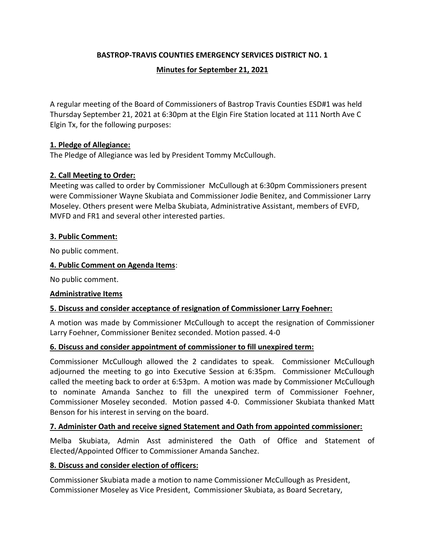## **BASTROP-TRAVIS COUNTIES EMERGENCY SERVICES DISTRICT NO. 1**

### **Minutes for September 21, 2021**

A regular meeting of the Board of Commissioners of Bastrop Travis Counties ESD#1 was held Thursday September 21, 2021 at 6:30pm at the Elgin Fire Station located at 111 North Ave C Elgin Tx, for the following purposes:

### **1. Pledge of Allegiance:**

The Pledge of Allegiance was led by President Tommy McCullough.

### **2. Call Meeting to Order:**

Meeting was called to order by Commissioner McCullough at 6:30pm Commissioners present were Commissioner Wayne Skubiata and Commissioner Jodie Benitez, and Commissioner Larry Moseley. Others present were Melba Skubiata, Administrative Assistant, members of EVFD, MVFD and FR1 and several other interested parties.

### **3. Public Comment:**

No public comment.

### **4. Public Comment on Agenda Items**:

No public comment.

### **Administrative Items**

### **5. Discuss and consider acceptance of resignation of Commissioner Larry Foehner:**

A motion was made by Commissioner McCullough to accept the resignation of Commissioner Larry Foehner, Commissioner Benitez seconded. Motion passed. 4-0

### **6. Discuss and consider appointment of commissioner to fill unexpired term:**

Commissioner McCullough allowed the 2 candidates to speak. Commissioner McCullough adjourned the meeting to go into Executive Session at 6:35pm. Commissioner McCullough called the meeting back to order at 6:53pm. A motion was made by Commissioner McCullough to nominate Amanda Sanchez to fill the unexpired term of Commissioner Foehner, Commissioner Moseley seconded. Motion passed 4-0. Commissioner Skubiata thanked Matt Benson for his interest in serving on the board.

### **7. Administer Oath and receive signed Statement and Oath from appointed commissioner:**

Melba Skubiata, Admin Asst administered the Oath of Office and Statement of Elected/Appointed Officer to Commissioner Amanda Sanchez.

### **8. Discuss and consider election of officers:**

Commissioner Skubiata made a motion to name Commissioner McCullough as President, Commissioner Moseley as Vice President, Commissioner Skubiata, as Board Secretary,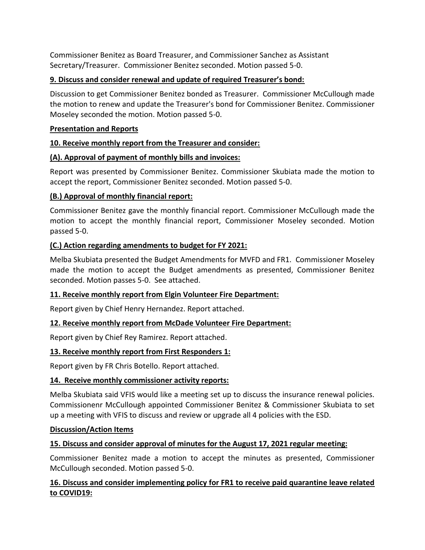Commissioner Benitez as Board Treasurer, and Commissioner Sanchez as Assistant Secretary/Treasurer. Commissioner Benitez seconded. Motion passed 5-0.

## **9. Discuss and consider renewal and update of required Treasurer's bond:**

Discussion to get Commissioner Benitez bonded as Treasurer. Commissioner McCullough made the motion to renew and update the Treasurer's bond for Commissioner Benitez. Commissioner Moseley seconded the motion. Motion passed 5-0.

# **Presentation and Reports**

# **10. Receive monthly report from the Treasurer and consider:**

# **(A). Approval of payment of monthly bills and invoices:**

Report was presented by Commissioner Benitez. Commissioner Skubiata made the motion to accept the report, Commissioner Benitez seconded. Motion passed 5-0.

## **(B.) Approval of monthly financial report:**

Commissioner Benitez gave the monthly financial report. Commissioner McCullough made the motion to accept the monthly financial report, Commissioner Moseley seconded. Motion passed 5-0.

# **(C.) Action regarding amendments to budget for FY 2021:**

Melba Skubiata presented the Budget Amendments for MVFD and FR1. Commissioner Moseley made the motion to accept the Budget amendments as presented, Commissioner Benitez seconded. Motion passes 5-0. See attached.

## **11. Receive monthly report from Elgin Volunteer Fire Department:**

Report given by Chief Henry Hernandez. Report attached.

## **12. Receive monthly report from McDade Volunteer Fire Department:**

Report given by Chief Rey Ramirez. Report attached.

## **13. Receive monthly report from First Responders 1:**

Report given by FR Chris Botello. Report attached.

## **14. Receive monthly commissioner activity reports:**

Melba Skubiata said VFIS would like a meeting set up to discuss the insurance renewal policies. Commissionenr McCullough appointed Commissioner Benitez & Commissioner Skubiata to set up a meeting with VFIS to discuss and review or upgrade all 4 policies with the ESD.

## **Discussion/Action Items**

# **15. Discuss and consider approval of minutes for the August 17, 2021 regular meeting:**

Commissioner Benitez made a motion to accept the minutes as presented, Commissioner McCullough seconded. Motion passed 5-0.

# **16. Discuss and consider implementing policy for FR1 to receive paid quarantine leave related to COVID19:**